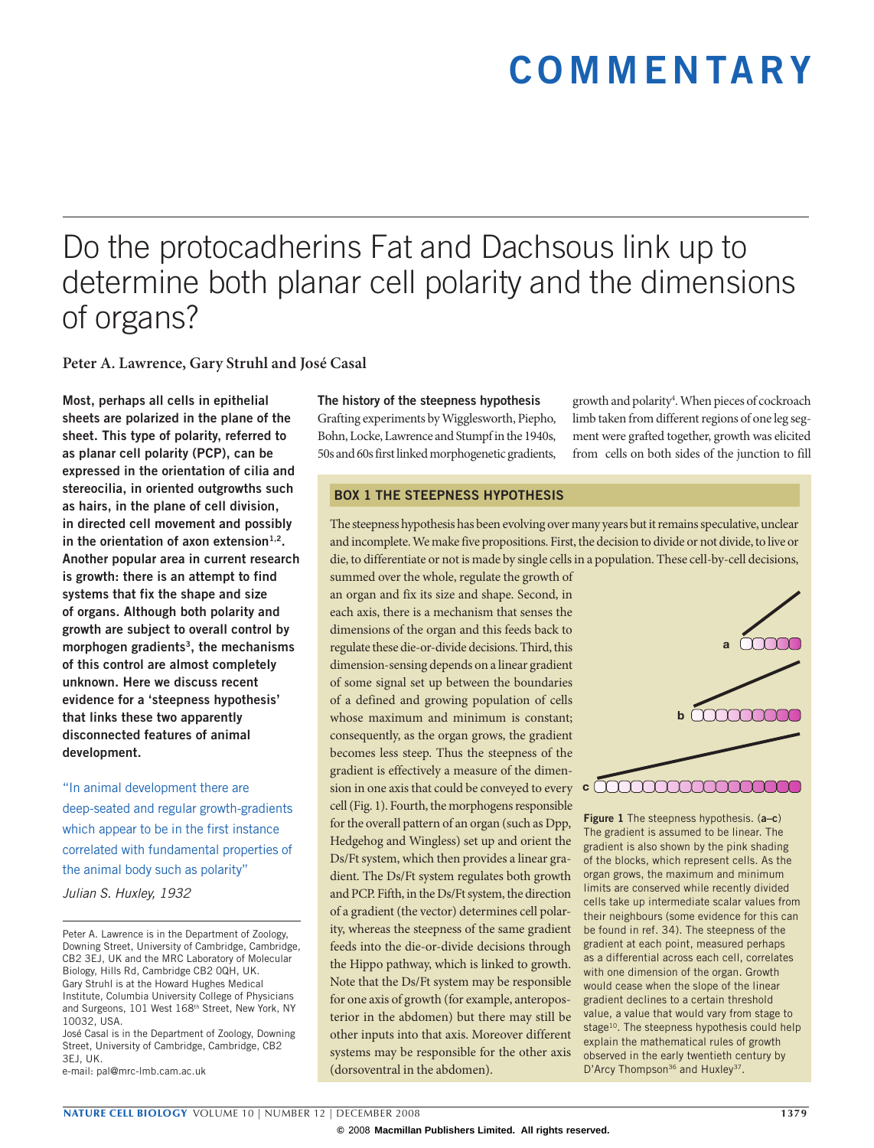# **commentary**

## Do the protocadherins Fat and Dachsous link up to determine both planar cell polarity and the dimensions of organs?

**Peter A. Lawrence, Gary Struhl and José Casal**

**Most, perhaps all cells in epithelial sheets are polarized in the plane of the sheet. This type of polarity, referred to as planar cell polarity (PCP), can be expressed in the orientation of cilia and stereocilia, in oriented outgrowths such as hairs, in the plane of cell division, in directed cell movement and possibly**  in the orientation of axon extension<sup>1,2</sup>. **Another popular area in current research is growth: there is an attempt to find systems that fix the shape and size of organs. Although both polarity and growth are subject to overall control by morphogen gradients3, the mechanisms of this control are almost completely unknown. Here we discuss recent evidence for a 'steepness hypothesis' that links these two apparently disconnected features of animal development.**

"In animal development there are deep-seated and regular growth-gradients which appear to be in the first instance correlated with fundamental properties of the animal body such as polarity"

*Julian S. Huxley, 1932*

José Casal is in the Department of Zoology, Downing Street, University of Cambridge, Cambridge, CB2 3EJ, UK.

e-mail: [pal@mrc-lmb.cam.ac.uk](mailto:pal@mrc-lmb.cam.ac.uk)

**The history of the steepness hypothesis** Grafting experiments by Wigglesworth, Piepho, Bohn, Locke, Lawrence and Stumpf in the 1940s, 50s and 60s first linked morphogenetic gradients,

growth and polarity4 . When pieces of cockroach limb taken from different regions of one leg segment were grafted together, growth was elicited from cells on both sides of the junction to fill

#### **BOX 1 THE STEEPNESS HYPOTHESIS**

The steepness hypothesis has been evolving over many years but it remains speculative, unclear and incomplete. We make five propositions. First, the decision to divide or not divide, to live or die, to differentiate or not is made by single cells in a population. These cell-by-cell decisions,

summed over the whole, regulate the growth of an organ and fix its size and shape. Second, in each axis, there is a mechanism that senses the dimensions of the organ and this feeds back to regulate these die-or-divide decisions. Third, this dimension-sensing depends on a linear gradient of some signal set up between the boundaries of a defined and growing population of cells whose maximum and minimum is constant; consequently, as the organ grows, the gradient becomes less steep. Thus the steepness of the gradient is effectively a measure of the dimension in one axis that could be conveyed to every **c** cell (Fig. 1). Fourth, the morphogens responsible for the overall pattern of an organ (such as Dpp, Hedgehog and Wingless) set up and orient the Ds/Ft system, which then provides a linear gradient. The Ds/Ft system regulates both growth and PCP. Fifth, in the Ds/Ft system, the direction of a gradient (the vector) determines cell polarity, whereas the steepness of the same gradient feeds into the die-or-divide decisions through the Hippo pathway, which is linked to growth. Note that the Ds/Ft system may be responsible for one axis of growth (for example, anteroposterior in the abdomen) but there may still be other inputs into that axis. Moreover different systems may be responsible for the other axis (dorsoventral in the abdomen).



**Figure 1** The steepness hypothesis. (**a–c**) The gradient is assumed to be linear. The gradient is also shown by the pink shading of the blocks, which represent cells. As the organ grows, the maximum and minimum limits are conserved while recently divided cells take up intermediate scalar values from their neighbours (some evidence for this can be found in ref. 34). The steepness of the gradient at each point, measured perhaps as a differential across each cell, correlates with one dimension of the organ. Growth would cease when the slope of the linear gradient declines to a certain threshold value, a value that would vary from stage to stage<sup>10</sup>. The steepness hypothesis could help explain the mathematical rules of growth observed in the early twentieth century by D'Arcy Thompson<sup>36</sup> and Huxley<sup>37</sup>.

Peter A. Lawrence is in the Department of Zoology, Downing Street, University of Cambridge, Cambridge, CB2 3EJ, UK and the MRC Laboratory of Molecular Biology, Hills Rd, Cambridge CB2 0QH, UK. Gary Struhl is at the Howard Hughes Medical Institute, Columbia University College of Physicians and Surgeons, 101 West 168<sup>th</sup> Street, New York, NY 10032, USA.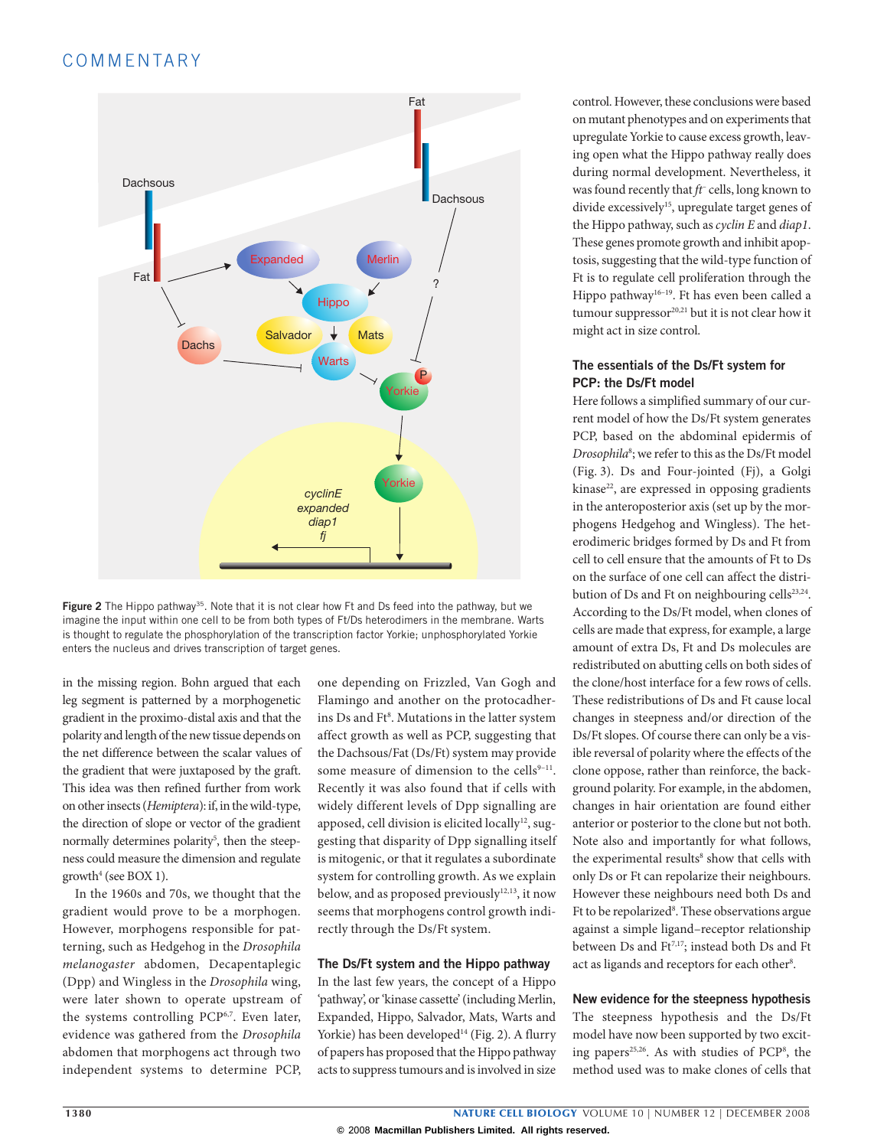## COMMENTARY



**Figure 2** The Hippo pathway<sup>35</sup>. Note that it is not clear how Ft and Ds feed into the pathway, but we imagine the input within one cell to be from both types of Ft/Ds heterodimers in the membrane. Warts is thought to regulate the phosphorylation of the transcription factor Yorkie; unphosphorylated Yorkie enters the nucleus and drives transcription of target genes.

in the missing region. Bohn argued that each leg segment is patterned by a morphogenetic gradient in the proximo-distal axis and that the polarity and length of the new tissue depends on the net difference between the scalar values of the gradient that were juxtaposed by the graft. This idea was then refined further from work on other insects (*Hemiptera*): if, in the wild-type, the direction of slope or vector of the gradient normally determines polarity<sup>5</sup>, then the steepness could measure the dimension and regulate growth4 (see BOX 1).

In the 1960s and 70s, we thought that the gradient would prove to be a morphogen. However, morphogens responsible for patterning, such as Hedgehog in the *Drosophila melanogaster* abdomen, Decapentaplegic (Dpp) and Wingless in the *Drosophila* wing, were later shown to operate upstream of the systems controlling PCP<sup>6,7</sup>. Even later, evidence was gathered from the *Drosophila* abdomen that morphogens act through two independent systems to determine PCP,

one depending on Frizzled, Van Gogh and Flamingo and another on the protocadherins Ds and Ft8 . Mutations in the latter system affect growth as well as PCP, suggesting that the Dachsous/Fat (Ds/Ft) system may provide some measure of dimension to the cells $9-11$ . Recently it was also found that if cells with widely different levels of Dpp signalling are apposed, cell division is elicited locally<sup>12</sup>, suggesting that disparity of Dpp signalling itself is mitogenic, or that it regulates a subordinate system for controlling growth. As we explain below, and as proposed previously<sup>12,13</sup>, it now seems that morphogens control growth indirectly through the Ds/Ft system.

#### **The Ds/Ft system and the Hippo pathway**

In the last few years, the concept of a Hippo 'pathway', or 'kinase cassette' (including Merlin, Expanded, Hippo, Salvador, Mats, Warts and Yorkie) has been developed<sup>14</sup> (Fig. 2). A flurry of papers has proposed that the Hippo pathway acts to suppress tumours and is involved in size

control. However, these conclusions were based on mutant phenotypes and on experiments that upregulate Yorkie to cause excess growth, leaving open what the Hippo pathway really does during normal development. Nevertheless, it was found recently that *ft–* cells, long known to divide excessively<sup>15</sup>, upregulate target genes of the Hippo pathway, such as *cyclin E* and *diap1*. These genes promote growth and inhibit apoptosis, suggesting that the wild-type function of Ft is to regulate cell proliferation through the Hippo pathway<sup>16-19</sup>. Ft has even been called a tumour suppressor $20,21$  but it is not clear how it might act in size control.

#### **The essentials of the Ds/Ft system for PCP: the Ds/Ft model**

Here follows a simplified summary of our current model of how the Ds/Ft system generates PCP, based on the abdominal epidermis of *Drosophila*<sup>8</sup> ; we refer to this as the Ds/Ft model (Fig. 3). Ds and Four-jointed (Fj), a Golgi  $kinase<sup>22</sup>$ , are expressed in opposing gradients in the anteroposterior axis (set up by the morphogens Hedgehog and Wingless). The heterodimeric bridges formed by Ds and Ft from cell to cell ensure that the amounts of Ft to Ds on the surface of one cell can affect the distribution of Ds and Ft on neighbouring cells $^{23,24}$ . According to the Ds/Ft model, when clones of cells are made that express, for example, a large amount of extra Ds, Ft and Ds molecules are redistributed on abutting cells on both sides of the clone/host interface for a few rows of cells. These redistributions of Ds and Ft cause local changes in steepness and/or direction of the Ds/Ft slopes. Of course there can only be a visible reversal of polarity where the effects of the clone oppose, rather than reinforce, the background polarity. For example, in the abdomen, changes in hair orientation are found either anterior or posterior to the clone but not both. Note also and importantly for what follows, the experimental results<sup>8</sup> show that cells with only Ds or Ft can repolarize their neighbours. However these neighbours need both Ds and Ft to be repolarized<sup>8</sup>. These observations argue against a simple ligand–receptor relationship between Ds and Ft<sup>7,17</sup>; instead both Ds and Ft act as ligands and receptors for each other<sup>8</sup>.

#### **New evidence for the steepness hypothesis**

The steepness hypothesis and the Ds/Ft model have now been supported by two exciting papers<sup>25,26</sup>. As with studies of PCP<sup>8</sup>, the method used was to make clones of cells that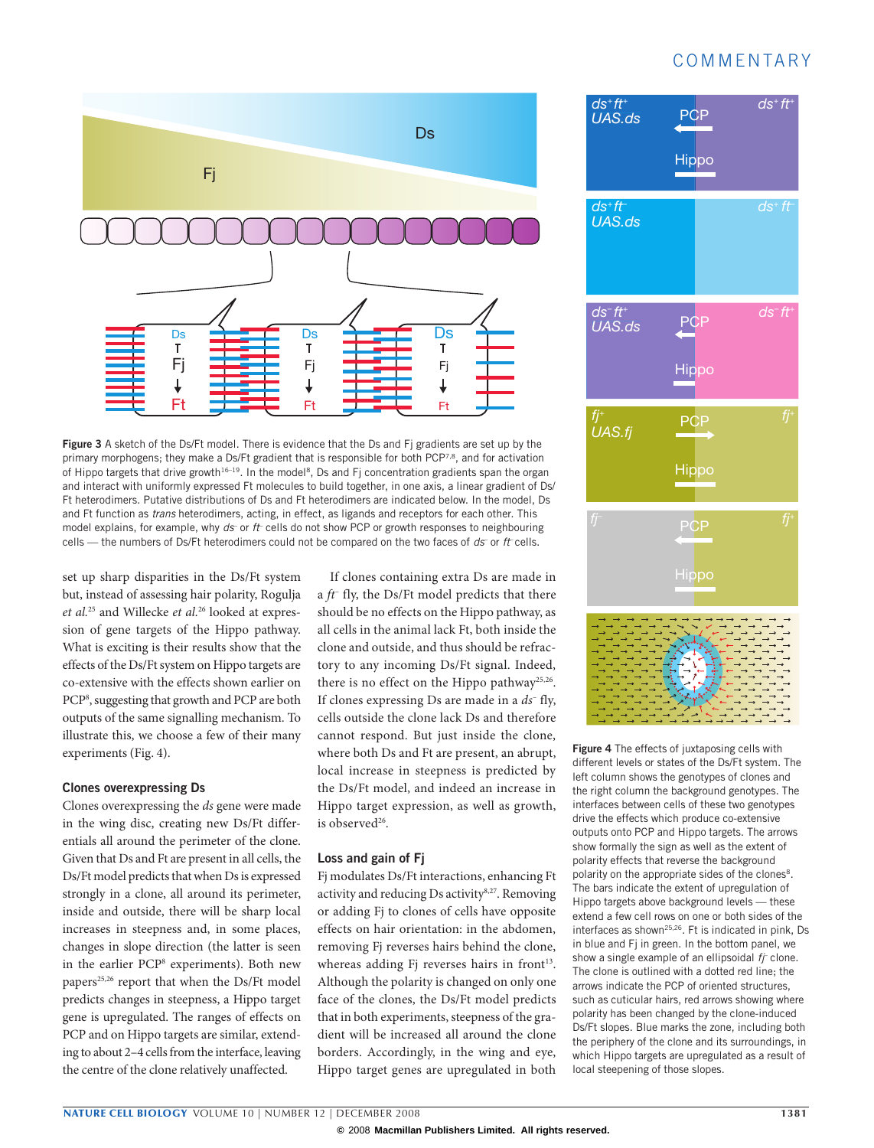## COMMENTARY



**Figure** 3 A sketch of the Ds/Ft model. There is evidence that the Ds and Fi gradients are set up by the primary morphogens; they make a Ds/Ft gradient that is responsible for both PCP<sup>7,8</sup>, and for activation of Hippo targets that drive growth<sup>16–19</sup>. In the model<sup>8</sup>, Ds and Fj concentration gradients span the organ and interact with uniformly expressed Ft molecules to build together, in one axis, a linear gradient of Ds/ Ft heterodimers. Putative distributions of Ds and Ft heterodimers are indicated below. In the model, Ds and Ft function as *trans* heterodimers, acting, in effect, as ligands and receptors for each other. This model explains, for example, why *ds* or *ft* cells do not show PCP or growth responses to neighbouring cells — the numbers of Ds/Ft heterodimers could not be compared on the two faces of *ds*- or *ft*-cells.

set up sharp disparities in the Ds/Ft system but, instead of assessing hair polarity, Rogulja *et al.*25 and Willecke *et al.*26 looked at expression of gene targets of the Hippo pathway. What is exciting is their results show that the effects of the Ds/Ft system on Hippo targets are co-extensive with the effects shown earlier on PCP8 , suggesting that growth and PCP are both outputs of the same signalling mechanism. To illustrate this, we choose a few of their many experiments (Fig. 4).

#### **Clones overexpressing Ds**

Clones overexpressing the *ds* gene were made in the wing disc, creating new Ds/Ft differentials all around the perimeter of the clone. Given that Ds and Ft are present in all cells, the Ds/Ft model predicts that when Ds is expressed strongly in a clone, all around its perimeter, inside and outside, there will be sharp local increases in steepness and, in some places, changes in slope direction (the latter is seen in the earlier PCP8 experiments). Both new papers<sup>25,26</sup> report that when the Ds/Ft model predicts changes in steepness, a Hippo target gene is upregulated. The ranges of effects on PCP and on Hippo targets are similar, extending to about 2–4 cells from the interface, leaving the centre of the clone relatively unaffected.

If clones containing extra Ds are made in a *ft–* fly, the Ds/Ft model predicts that there should be no effects on the Hippo pathway, as all cells in the animal lack Ft, both inside the clone and outside, and thus should be refractory to any incoming Ds/Ft signal. Indeed, there is no effect on the Hippo pathway<sup>25,26</sup>. If clones expressing Ds are made in a *ds–* fly, cells outside the clone lack Ds and therefore cannot respond. But just inside the clone, where both Ds and Ft are present, an abrupt, local increase in steepness is predicted by the Ds/Ft model, and indeed an increase in Hippo target expression, as well as growth, is observed<sup>26</sup>.

#### **Loss and gain of Fj**

Fj modulates Ds/Ft interactions, enhancing Ft activity and reducing Ds activity8,27. Removing or adding Fj to clones of cells have opposite effects on hair orientation: in the abdomen, removing Fj reverses hairs behind the clone, whereas adding Fj reverses hairs in front<sup>13</sup>. Although the polarity is changed on only one face of the clones, the Ds/Ft model predicts that in both experiments, steepness of the gradient will be increased all around the clone borders. Accordingly, in the wing and eye, Hippo target genes are upregulated in both



**Figure 4** The effects of juxtaposing cells with different levels or states of the Ds/Ft system. The left column shows the genotypes of clones and the right column the background genotypes. The interfaces between cells of these two genotypes drive the effects which produce co-extensive outputs onto PCP and Hippo targets. The arrows show formally the sign as well as the extent of polarity effects that reverse the background polarity on the appropriate sides of the clones<sup>8</sup>. The bars indicate the extent of upregulation of Hippo targets above background levels — these extend a few cell rows on one or both sides of the interfaces as shown<sup>25,26</sup>. Ft is indicated in pink, Ds in blue and Fj in green. In the bottom panel, we show a single example of an ellipsoidal *ff* clone. The clone is outlined with a dotted red line; the arrows indicate the PCP of oriented structures, such as cuticular hairs, red arrows showing where polarity has been changed by the clone-induced Ds/Ft slopes. Blue marks the zone, including both the periphery of the clone and its surroundings, in which Hippo targets are upregulated as a result of local steepening of those slopes.